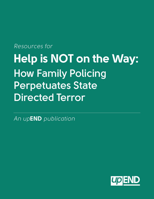# *Resources for* **Help is NOT on the Way: How Family Policing Perpetuates State Directed Terror**

*An up***END** *publication*

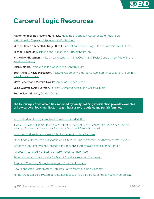

### **Carceral Logic Resources**

**Katherine Beckett & Naomi Murakawa,** Mapping the Shadow Carceral State: Toward an Institutionally Capacious Approach to Punishment

**Michael Coyle & Mechthild Nagel (Eds.),** Contesting Carceral Logic: Toward Abolitionoist Futures

**Michael Foucault,** Discipline and Punish: The Birth of the Prison

**Issa Kohler-Hausmann,** Misdemeanorland: Criminal Courts and Social Control In an Age of Broken Windows Policing

**Erica Meiners,** Trouble with the Child in the Carceral State

**Beth Richie & Kayla Martensen,** Resisting Carcerality, Embracing Abolition: Implications for Feminist Social Work Practice

**Maya Schenwar & Victoria Law,** Prison by Any Other Name

**Vesla Weaver & Amy Lerman,** Political Consequences of the Carceral State

**Ruth Wilson Gilmore,** Golden Gulag

**The following stories of families impacted by family policing intervention provide examples of how carceral logic manifests in ways that surveil, regulate, and punish families.** 

In the Child Welfare System, Black Families Should Matter

'I Was Blindsided': Illinois Mother Nearly Lost Custody of Her 10-Month-Old Child After Doctors Wrongly Assumed a Mark on His Ear Was a Bruise — It Was a Birthmark

How the Child Welfare System Is Silently Destroying Black Families

Study finds 'extreme' racial disparities in DCS cases, Phoenix family says they were 'stereotyped'

'American Idol' star Syesha Mercado fights for son's custody over claims of malnutrition

Parents Threatened with Losing Children Over Cannabis Use

Parents who kept kids at home for fear of Covid are reported for neglect

A Father's Year Long Struggle to Regain Custody of His Son

How Minnesota's Foster System Reminds Native Moms of a Racist Legacy

Minnesota foster care system perpetuates legacy of racist boarding schools, Native mothers say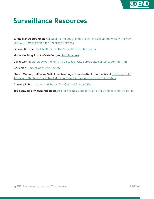

#### **Surveillance Resources**

**J. Khadijah Abdurahman,** Calculating the Souls of Black Folk: Predictive Analytics in the New York City Administration for Children's Services

**Simone Browne,** Dark Matters: On the Surveillance of Blackness

**Moon Kie Jung & João Costa Vargas,** Antiblackness

David Lyon, **Technology vs. 'Terrorism': Circuits of City Surveillance Since September 11th** 

**Gary Marx,** Surveillance and Society

**Sheyla Medina, Katherine Sell, Jane Kavanagh, Cara Curtis, & Joanne Wood,** Tracking Child Abuse and Neglect: The Role of Multiple Data Sources in Improving Child Safety

**Dorothy Roberts,** Shattered Bonds: The Color of Child Welfare

**Zoé Samudzi & William Anderson,** As Black as Resistance: Finding the Conditions for Liberation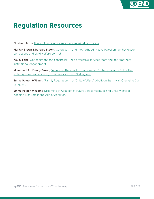

## **Regulation Resources**

**Elizabeth Brico,** How child protective services can skip due process

Marilyn Brown & Barbara Bloom, Colonialism and motherhood: Native Hawaiian families under corrections and child welfare control

**Kelley Fong,** Concealment and constraint: Child protective services fears and poor mothers institutional engagement

**Movement for Family Power,** "Whatever they do, I'm her comfort, I'm her protector." How the foster system has become ground zero for the U.S. drug war

**Emma Peyton Williams,** 'Family Regulation,' not 'Child Welfare': Abolition Starts with Changing Our Language

**Emma Peyton Williams,** Dreaming of Abolitionist Futures, Reconceptualizing Child Welfare: Keeping Kids Safe in the Age of Abolition